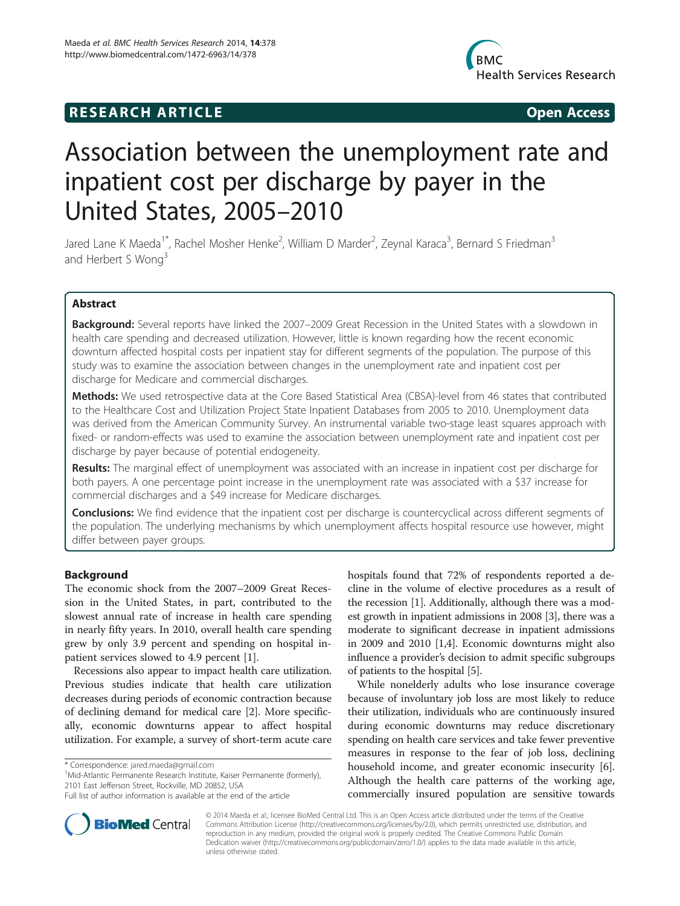## **RESEARCH ARTICLE Example 2018 Open Access**



# Association between the unemployment rate and inpatient cost per discharge by payer in the United States, 2005–2010

Jared Lane K Maeda<sup>1\*</sup>, Rachel Mosher Henke<sup>2</sup>, William D Marder<sup>2</sup>, Zeynal Karaca<sup>3</sup>, Bernard S Friedman<sup>3</sup> and Herbert S Wong<sup>3</sup>

## Abstract

Background: Several reports have linked the 2007–2009 Great Recession in the United States with a slowdown in health care spending and decreased utilization. However, little is known regarding how the recent economic downturn affected hospital costs per inpatient stay for different segments of the population. The purpose of this study was to examine the association between changes in the unemployment rate and inpatient cost per discharge for Medicare and commercial discharges.

Methods: We used retrospective data at the Core Based Statistical Area (CBSA)-level from 46 states that contributed to the Healthcare Cost and Utilization Project State Inpatient Databases from 2005 to 2010. Unemployment data was derived from the American Community Survey. An instrumental variable two-stage least squares approach with fixed- or random-effects was used to examine the association between unemployment rate and inpatient cost per discharge by payer because of potential endogeneity.

Results: The marginal effect of unemployment was associated with an increase in inpatient cost per discharge for both payers. A one percentage point increase in the unemployment rate was associated with a \$37 increase for commercial discharges and a \$49 increase for Medicare discharges.

Conclusions: We find evidence that the inpatient cost per discharge is countercyclical across different segments of the population. The underlying mechanisms by which unemployment affects hospital resource use however, might differ between payer groups.

## Background

The economic shock from the 2007–2009 Great Recession in the United States, in part, contributed to the slowest annual rate of increase in health care spending in nearly fifty years. In 2010, overall health care spending grew by only 3.9 percent and spending on hospital inpatient services slowed to 4.9 percent [[1](#page-7-0)].

Recessions also appear to impact health care utilization. Previous studies indicate that health care utilization decreases during periods of economic contraction because of declining demand for medical care [\[2\]](#page-7-0). More specifically, economic downturns appear to affect hospital utilization. For example, a survey of short-term acute care

\* Correspondence: [jared.maeda@gmail.com](mailto:jared.maeda@gmail.com) <sup>1</sup>

<sup>1</sup>Mid-Atlantic Permanente Research Institute, Kaiser Permanente (formerly), 2101 East Jefferson Street, Rockville, MD 20852, USA

hospitals found that 72% of respondents reported a decline in the volume of elective procedures as a result of the recession [\[1](#page-7-0)]. Additionally, although there was a modest growth in inpatient admissions in 2008 [[3](#page-7-0)], there was a moderate to significant decrease in inpatient admissions in 2009 and 2010 [\[1,4](#page-7-0)]. Economic downturns might also influence a provider's decision to admit specific subgroups of patients to the hospital [\[5](#page-7-0)].

While nonelderly adults who lose insurance coverage because of involuntary job loss are most likely to reduce their utilization, individuals who are continuously insured during economic downturns may reduce discretionary spending on health care services and take fewer preventive measures in response to the fear of job loss, declining household income, and greater economic insecurity [[6](#page-7-0)]. Although the health care patterns of the working age, commercially insured population are sensitive towards



© 2014 Maeda et al.; licensee BioMed Central Ltd. This is an Open Access article distributed under the terms of the Creative Commons Attribution License [\(http://creativecommons.org/licenses/by/2.0\)](http://creativecommons.org/licenses/by/2.0), which permits unrestricted use, distribution, and reproduction in any medium, provided the original work is properly credited. The Creative Commons Public Domain Dedication waiver [\(http://creativecommons.org/publicdomain/zero/1.0/](http://creativecommons.org/publicdomain/zero/1.0/)) applies to the data made available in this article, unless otherwise stated.

Full list of author information is available at the end of the article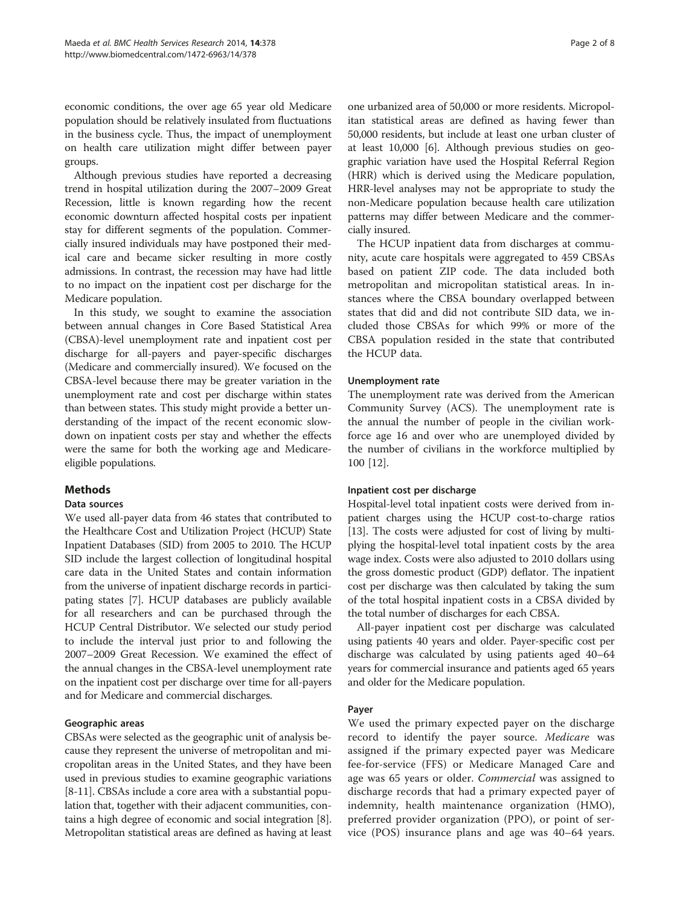economic conditions, the over age 65 year old Medicare population should be relatively insulated from fluctuations in the business cycle. Thus, the impact of unemployment on health care utilization might differ between payer groups.

Although previous studies have reported a decreasing trend in hospital utilization during the 2007–2009 Great Recession, little is known regarding how the recent economic downturn affected hospital costs per inpatient stay for different segments of the population. Commercially insured individuals may have postponed their medical care and became sicker resulting in more costly admissions. In contrast, the recession may have had little to no impact on the inpatient cost per discharge for the Medicare population.

In this study, we sought to examine the association between annual changes in Core Based Statistical Area (CBSA)-level unemployment rate and inpatient cost per discharge for all-payers and payer-specific discharges (Medicare and commercially insured). We focused on the CBSA-level because there may be greater variation in the unemployment rate and cost per discharge within states than between states. This study might provide a better understanding of the impact of the recent economic slowdown on inpatient costs per stay and whether the effects were the same for both the working age and Medicareeligible populations.

## Methods

#### Data sources

We used all-payer data from 46 states that contributed to the Healthcare Cost and Utilization Project (HCUP) State Inpatient Databases (SID) from 2005 to 2010. The HCUP SID include the largest collection of longitudinal hospital care data in the United States and contain information from the universe of inpatient discharge records in participating states [[7\]](#page-7-0). HCUP databases are publicly available for all researchers and can be purchased through the HCUP Central Distributor. We selected our study period to include the interval just prior to and following the 2007–2009 Great Recession. We examined the effect of the annual changes in the CBSA-level unemployment rate on the inpatient cost per discharge over time for all-payers and for Medicare and commercial discharges.

## Geographic areas

CBSAs were selected as the geographic unit of analysis because they represent the universe of metropolitan and micropolitan areas in the United States, and they have been used in previous studies to examine geographic variations [[8-11\]](#page-7-0). CBSAs include a core area with a substantial population that, together with their adjacent communities, contains a high degree of economic and social integration [[8](#page-7-0)]. Metropolitan statistical areas are defined as having at least

one urbanized area of 50,000 or more residents. Micropolitan statistical areas are defined as having fewer than 50,000 residents, but include at least one urban cluster of at least 10,000 [\[6](#page-7-0)]. Although previous studies on geographic variation have used the Hospital Referral Region (HRR) which is derived using the Medicare population, HRR-level analyses may not be appropriate to study the non-Medicare population because health care utilization patterns may differ between Medicare and the commercially insured.

The HCUP inpatient data from discharges at community, acute care hospitals were aggregated to 459 CBSAs based on patient ZIP code. The data included both metropolitan and micropolitan statistical areas. In instances where the CBSA boundary overlapped between states that did and did not contribute SID data, we included those CBSAs for which 99% or more of the CBSA population resided in the state that contributed the HCUP data.

## Unemployment rate

The unemployment rate was derived from the American Community Survey (ACS). The unemployment rate is the annual the number of people in the civilian workforce age 16 and over who are unemployed divided by the number of civilians in the workforce multiplied by 100 [[12](#page-7-0)].

## Inpatient cost per discharge

Hospital-level total inpatient costs were derived from inpatient charges using the HCUP cost-to-charge ratios [[13](#page-7-0)]. The costs were adjusted for cost of living by multiplying the hospital-level total inpatient costs by the area wage index. Costs were also adjusted to 2010 dollars using the gross domestic product (GDP) deflator. The inpatient cost per discharge was then calculated by taking the sum of the total hospital inpatient costs in a CBSA divided by the total number of discharges for each CBSA.

All-payer inpatient cost per discharge was calculated using patients 40 years and older. Payer-specific cost per discharge was calculated by using patients aged 40–64 years for commercial insurance and patients aged 65 years and older for the Medicare population.

#### Payer

We used the primary expected payer on the discharge record to identify the payer source. Medicare was assigned if the primary expected payer was Medicare fee-for-service (FFS) or Medicare Managed Care and age was 65 years or older. Commercial was assigned to discharge records that had a primary expected payer of indemnity, health maintenance organization (HMO), preferred provider organization (PPO), or point of service (POS) insurance plans and age was 40–64 years.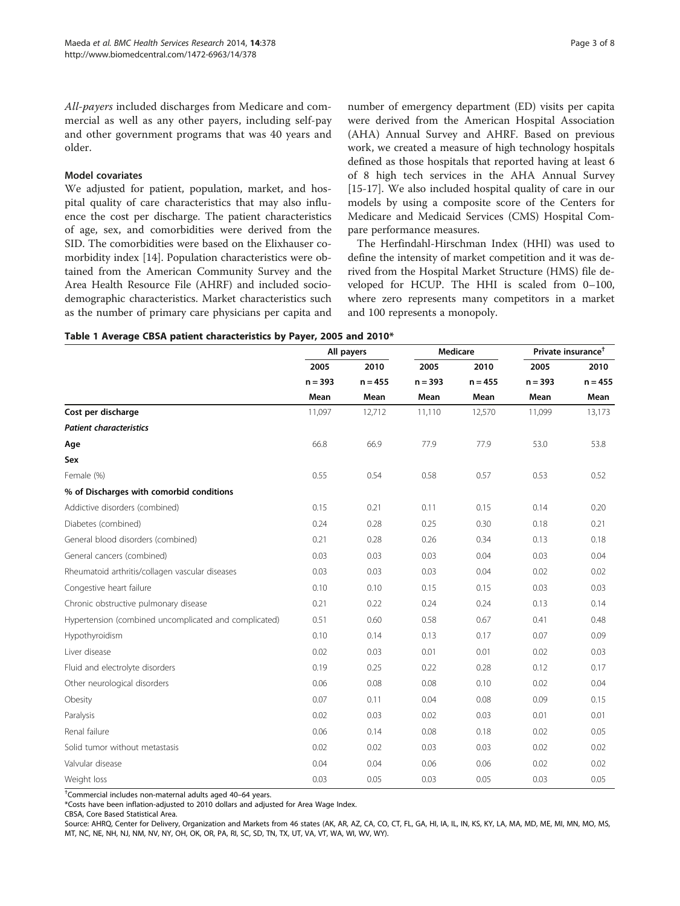<span id="page-2-0"></span>All-payers included discharges from Medicare and commercial as well as any other payers, including self-pay and other government programs that was 40 years and older.

### Model covariates

We adjusted for patient, population, market, and hospital quality of care characteristics that may also influence the cost per discharge. The patient characteristics of age, sex, and comorbidities were derived from the SID. The comorbidities were based on the Elixhauser comorbidity index [\[14\]](#page-7-0). Population characteristics were obtained from the American Community Survey and the Area Health Resource File (AHRF) and included sociodemographic characteristics. Market characteristics such as the number of primary care physicians per capita and

number of emergency department (ED) visits per capita were derived from the American Hospital Association (AHA) Annual Survey and AHRF. Based on previous work, we created a measure of high technology hospitals defined as those hospitals that reported having at least 6 of 8 high tech services in the AHA Annual Survey [[15-17](#page-7-0)]. We also included hospital quality of care in our models by using a composite score of the Centers for Medicare and Medicaid Services (CMS) Hospital Compare performance measures.

The Herfindahl-Hirschman Index (HHI) was used to define the intensity of market competition and it was derived from the Hospital Market Structure (HMS) file developed for HCUP. The HHI is scaled from 0–100, where zero represents many competitors in a market and 100 represents a monopoly.

| Table 1 Average CBSA patient characteristics by Payer, 2005 and 2010* |  |  |  |  |  |  |
|-----------------------------------------------------------------------|--|--|--|--|--|--|
|-----------------------------------------------------------------------|--|--|--|--|--|--|

|                                                       | All payers |           | <b>Medicare</b> |           | Private insurance <sup>†</sup> |           |
|-------------------------------------------------------|------------|-----------|-----------------|-----------|--------------------------------|-----------|
|                                                       | 2005       | 2010      | 2005            | 2010      | 2005                           | 2010      |
|                                                       | $n = 393$  | $n = 455$ | $n = 393$       | $n = 455$ | $n = 393$                      | $n = 455$ |
|                                                       | Mean       | Mean      | Mean            | Mean      | Mean                           | Mean      |
| Cost per discharge                                    | 11,097     | 12,712    | 11,110          | 12,570    | 11,099                         | 13,173    |
| <b>Patient characteristics</b>                        |            |           |                 |           |                                |           |
| Age                                                   | 66.8       | 66.9      | 77.9            | 77.9      | 53.0                           | 53.8      |
| Sex                                                   |            |           |                 |           |                                |           |
| Female (%)                                            | 0.55       | 0.54      | 0.58            | 0.57      | 0.53                           | 0.52      |
| % of Discharges with comorbid conditions              |            |           |                 |           |                                |           |
| Addictive disorders (combined)                        | 0.15       | 0.21      | 0.11            | 0.15      | 0.14                           | 0.20      |
| Diabetes (combined)                                   | 0.24       | 0.28      | 0.25            | 0.30      | 0.18                           | 0.21      |
| General blood disorders (combined)                    | 0.21       | 0.28      | 0.26            | 0.34      | 0.13                           | 0.18      |
| General cancers (combined)                            | 0.03       | 0.03      | 0.03            | 0.04      | 0.03                           | 0.04      |
| Rheumatoid arthritis/collagen vascular diseases       | 0.03       | 0.03      | 0.03            | 0.04      | 0.02                           | 0.02      |
| Congestive heart failure                              | 0.10       | 0.10      | 0.15            | 0.15      | 0.03                           | 0.03      |
| Chronic obstructive pulmonary disease                 | 0.21       | 0.22      | 0.24            | 0.24      | 0.13                           | 0.14      |
| Hypertension (combined uncomplicated and complicated) | 0.51       | 0.60      | 0.58            | 0.67      | 0.41                           | 0.48      |
| Hypothyroidism                                        | 0.10       | 0.14      | 0.13            | 0.17      | 0.07                           | 0.09      |
| Liver disease                                         | 0.02       | 0.03      | 0.01            | 0.01      | 0.02                           | 0.03      |
| Fluid and electrolyte disorders                       | 0.19       | 0.25      | 0.22            | 0.28      | 0.12                           | 0.17      |
| Other neurological disorders                          | 0.06       | 0.08      | 0.08            | 0.10      | 0.02                           | 0.04      |
| Obesity                                               | 0.07       | 0.11      | 0.04            | 0.08      | 0.09                           | 0.15      |
| Paralysis                                             | 0.02       | 0.03      | 0.02            | 0.03      | 0.01                           | 0.01      |
| Renal failure                                         | 0.06       | 0.14      | 0.08            | 0.18      | 0.02                           | 0.05      |
| Solid tumor without metastasis                        | 0.02       | 0.02      | 0.03            | 0.03      | 0.02                           | 0.02      |
| Valvular disease                                      | 0.04       | 0.04      | 0.06            | 0.06      | 0.02                           | 0.02      |
| Weight loss                                           | 0.03       | 0.05      | 0.03            | 0.05      | 0.03                           | 0.05      |

† Commercial includes non-maternal adults aged 40–64 years.

\*Costs have been inflation-adjusted to 2010 dollars and adjusted for Area Wage Index.

CBSA, Core Based Statistical Area.

Source: AHRQ, Center for Delivery, Organization and Markets from 46 states (AK, AR, AZ, CA, CO, CT, FL, GA, HI, IA, IL, IN, KS, KY, LA, MA, MD, ME, MI, MN, MO, MS, MT, NC, NE, NH, NJ, NM, NV, NY, OH, OK, OR, PA, RI, SC, SD, TN, TX, UT, VA, VT, WA, WI, WV, WY).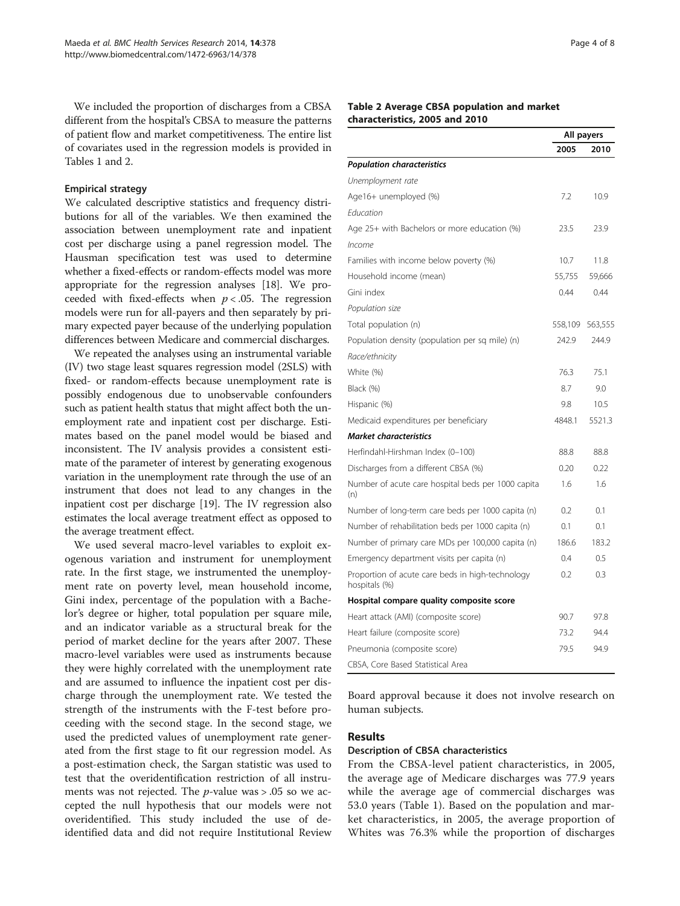<span id="page-3-0"></span>We included the proportion of discharges from a CBSA different from the hospital's CBSA to measure the patterns of patient flow and market competitiveness. The entire list of covariates used in the regression models is provided in Tables [1](#page-2-0) and 2.

#### Empirical strategy

We calculated descriptive statistics and frequency distributions for all of the variables. We then examined the association between unemployment rate and inpatient cost per discharge using a panel regression model. The Hausman specification test was used to determine whether a fixed-effects or random-effects model was more appropriate for the regression analyses [\[18](#page-7-0)]. We proceeded with fixed-effects when  $p < .05$ . The regression models were run for all-payers and then separately by primary expected payer because of the underlying population differences between Medicare and commercial discharges.

We repeated the analyses using an instrumental variable (IV) two stage least squares regression model (2SLS) with fixed- or random-effects because unemployment rate is possibly endogenous due to unobservable confounders such as patient health status that might affect both the unemployment rate and inpatient cost per discharge. Estimates based on the panel model would be biased and inconsistent. The IV analysis provides a consistent estimate of the parameter of interest by generating exogenous variation in the unemployment rate through the use of an instrument that does not lead to any changes in the inpatient cost per discharge [[19\]](#page-7-0). The IV regression also estimates the local average treatment effect as opposed to the average treatment effect.

We used several macro-level variables to exploit exogenous variation and instrument for unemployment rate. In the first stage, we instrumented the unemployment rate on poverty level, mean household income, Gini index, percentage of the population with a Bachelor's degree or higher, total population per square mile, and an indicator variable as a structural break for the period of market decline for the years after 2007. These macro-level variables were used as instruments because they were highly correlated with the unemployment rate and are assumed to influence the inpatient cost per discharge through the unemployment rate. We tested the strength of the instruments with the F-test before proceeding with the second stage. In the second stage, we used the predicted values of unemployment rate generated from the first stage to fit our regression model. As a post-estimation check, the Sargan statistic was used to test that the overidentification restriction of all instruments was not rejected. The  $p$ -value was > .05 so we accepted the null hypothesis that our models were not overidentified. This study included the use of deidentified data and did not require Institutional Review

#### Table 2 Average CBSA population and market characteristics, 2005 and 2010

|                                                                   | All payers |         |
|-------------------------------------------------------------------|------------|---------|
|                                                                   | 2005       | 2010    |
| <b>Population characteristics</b>                                 |            |         |
| Unemployment rate                                                 |            |         |
| Age16+ unemployed (%)                                             | 7.2        | 10.9    |
| Education                                                         |            |         |
| Age 25+ with Bachelors or more education (%)                      | 23.5       | 23.9    |
| Income                                                            |            |         |
| Families with income below poverty (%)                            | 10.7       | 11.8    |
| Household income (mean)                                           | 55,755     | 59,666  |
| Gini index                                                        | 0.44       | 0.44    |
| Population size                                                   |            |         |
| Total population (n)                                              | 558,109    | 563,555 |
| Population density (population per sq mile) (n)                   | 242.9      | 244.9   |
| Race/ethnicity                                                    |            |         |
| White (%)                                                         | 76.3       | 75.1    |
| Black (%)                                                         | 8.7        | 9.0     |
| Hispanic (%)                                                      | 9.8        | 10.5    |
| Medicaid expenditures per beneficiary                             | 4848.1     | 5521.3  |
| <b>Market characteristics</b>                                     |            |         |
| Herfindahl-Hirshman Index (0-100)                                 | 88.8       | 88.8    |
| Discharges from a different CBSA (%)                              | 0.20       | 0.22    |
| Number of acute care hospital beds per 1000 capita<br>(n)         | 1.6        | 1.6     |
| Number of long-term care beds per 1000 capita (n)                 | 0.2        | 0.1     |
| Number of rehabilitation beds per 1000 capita (n)                 | 0.1        | 0.1     |
| Number of primary care MDs per 100,000 capita (n)                 | 186.6      | 183.2   |
| Emergency department visits per capita (n)                        | 0.4        | 0.5     |
| Proportion of acute care beds in high-technology<br>hospitals (%) | 0.2        | 0.3     |
| Hospital compare quality composite score                          |            |         |
| Heart attack (AMI) (composite score)                              | 90.7       | 97.8    |
| Heart failure (composite score)                                   | 73.2       | 94.4    |
| Pneumonia (composite score)                                       | 79.5       | 94.9    |
| CBSA, Core Based Statistical Area                                 |            |         |

Board approval because it does not involve research on human subjects.

## Results

#### Description of CBSA characteristics

From the CBSA-level patient characteristics, in 2005, the average age of Medicare discharges was 77.9 years while the average age of commercial discharges was 53.0 years (Table [1](#page-2-0)). Based on the population and market characteristics, in 2005, the average proportion of Whites was 76.3% while the proportion of discharges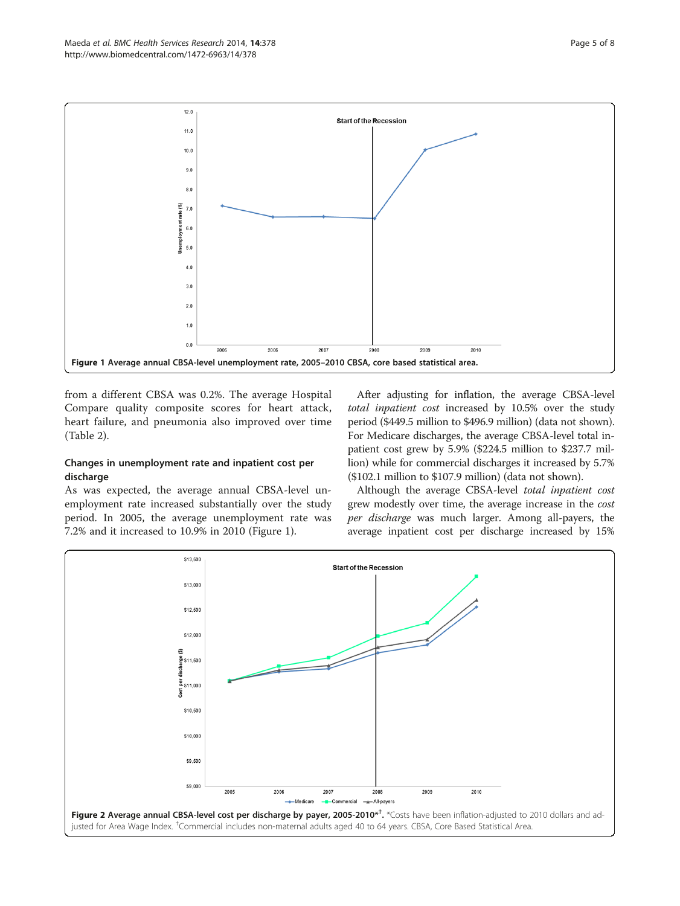<span id="page-4-0"></span>

from a different CBSA was 0.2%. The average Hospital Compare quality composite scores for heart attack, heart failure, and pneumonia also improved over time (Table [2](#page-3-0)).

## Changes in unemployment rate and inpatient cost per discharge

As was expected, the average annual CBSA-level unemployment rate increased substantially over the study period. In 2005, the average unemployment rate was 7.2% and it increased to 10.9% in 2010 (Figure 1).

After adjusting for inflation, the average CBSA-level total inpatient cost increased by 10.5% over the study period (\$449.5 million to \$496.9 million) (data not shown). For Medicare discharges, the average CBSA-level total inpatient cost grew by 5.9% (\$224.5 million to \$237.7 million) while for commercial discharges it increased by 5.7% (\$102.1 million to \$107.9 million) (data not shown).

Although the average CBSA-level total inpatient cost grew modestly over time, the average increase in the cost per discharge was much larger. Among all-payers, the average inpatient cost per discharge increased by 15%

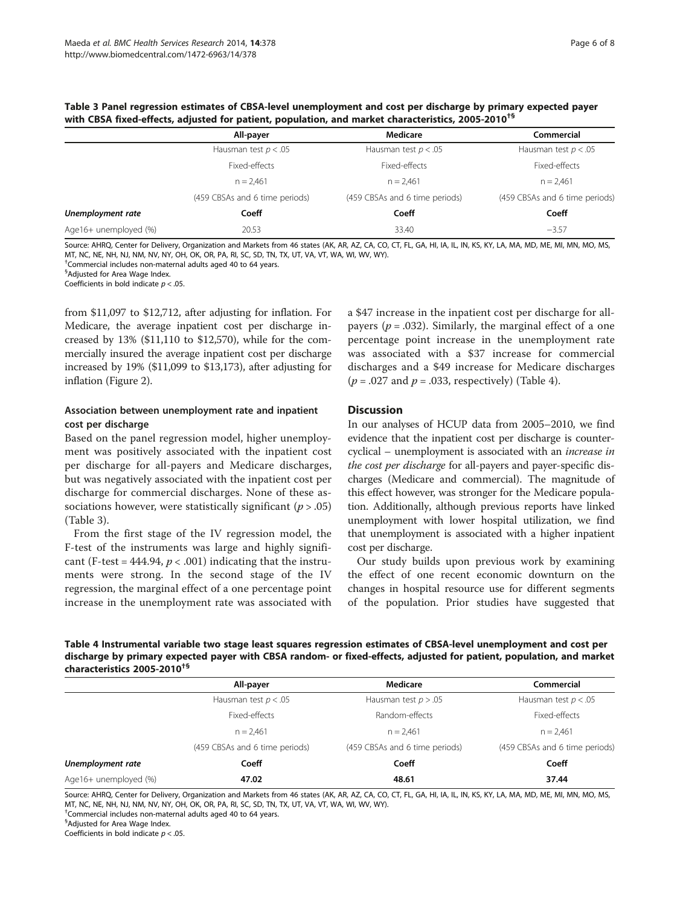| Table 3 Panel regression estimates of CBSA-level unemployment and cost per discharge by primary expected payer |  |
|----------------------------------------------------------------------------------------------------------------|--|
| with CBSA fixed-effects, adjusted for patient, population, and market characteristics, 2005-2010 <sup>ts</sup> |  |

|                       | All-payer                      | Medicare                       | Commercial                     |  |  |
|-----------------------|--------------------------------|--------------------------------|--------------------------------|--|--|
|                       | Hausman test $p < .05$         | Hausman test $p < .05$         | Hausman test $p < .05$         |  |  |
|                       | Fixed-effects                  | Fixed-effects                  | Fixed-effects                  |  |  |
|                       | $n = 2.461$                    | $n = 2.461$                    | $n = 2.461$                    |  |  |
|                       | (459 CBSAs and 6 time periods) | (459 CBSAs and 6 time periods) | (459 CBSAs and 6 time periods) |  |  |
| Unemployment rate     | Coeff                          | Coeff                          | Coeff                          |  |  |
| Age16+ unemployed (%) | 20.53                          | 33.40                          | $-3.57$                        |  |  |

Source: AHRQ, Center for Delivery, Organization and Markets from 46 states (AK, AR, AZ, CA, CO, CT, FL, GA, HI, IA, IL, IN, KS, KY, LA, MA, MD, ME, MI, MN, MO, MS, MT, NC, NE, NH, NJ, NM, NV, NY, OH, OK, OR, PA, RI, SC, SD, TN, TX, UT, VA, VT, WA, WI, WV, WY).

† Commercial includes non-maternal adults aged 40 to 64 years.

§ Adjusted for Area Wage Index.

Coefficients in bold indicate  $p < .05$ .

from \$11,097 to \$12,712, after adjusting for inflation. For Medicare, the average inpatient cost per discharge increased by 13% (\$11,110 to \$12,570), while for the commercially insured the average inpatient cost per discharge increased by 19% (\$11,099 to \$13,173), after adjusting for inflation (Figure [2](#page-4-0)).

## Association between unemployment rate and inpatient cost per discharge

Based on the panel regression model, higher unemployment was positively associated with the inpatient cost per discharge for all-payers and Medicare discharges, but was negatively associated with the inpatient cost per discharge for commercial discharges. None of these associations however, were statistically significant ( $p > .05$ ) (Table 3).

From the first stage of the IV regression model, the F-test of the instruments was large and highly significant (F-test =  $444.94$ ,  $p < .001$ ) indicating that the instruments were strong. In the second stage of the IV regression, the marginal effect of a one percentage point increase in the unemployment rate was associated with a \$47 increase in the inpatient cost per discharge for allpayers ( $p = .032$ ). Similarly, the marginal effect of a one percentage point increase in the unemployment rate was associated with a \$37 increase for commercial discharges and a \$49 increase for Medicare discharges  $(p=.027$  and  $p=.033$ , respectively) (Table 4).

## **Discussion**

In our analyses of HCUP data from 2005–2010, we find evidence that the inpatient cost per discharge is countercyclical – unemployment is associated with an increase in the cost per discharge for all-payers and payer-specific discharges (Medicare and commercial). The magnitude of this effect however, was stronger for the Medicare population. Additionally, although previous reports have linked unemployment with lower hospital utilization, we find that unemployment is associated with a higher inpatient cost per discharge.

Our study builds upon previous work by examining the effect of one recent economic downturn on the changes in hospital resource use for different segments of the population. Prior studies have suggested that

Table 4 Instrumental variable two stage least squares regression estimates of CBSA-level unemployment and cost per discharge by primary expected payer with CBSA random- or fixed-effects, adjusted for patient, population, and market characteristics 2005-2010†§

|                       | All-payer                      | Medicare                       | Commercial                     |  |  |
|-----------------------|--------------------------------|--------------------------------|--------------------------------|--|--|
|                       | Hausman test $p < .05$         | Hausman test $p > .05$         | Hausman test $p < .05$         |  |  |
|                       | Fixed-effects                  | Random-effects                 | Fixed-effects                  |  |  |
|                       | $n = 2.461$                    | $n = 2.461$                    | $n = 2.461$                    |  |  |
|                       | (459 CBSAs and 6 time periods) | (459 CBSAs and 6 time periods) | (459 CBSAs and 6 time periods) |  |  |
| Unemployment rate     | Coeff                          | Coeff                          | Coeff                          |  |  |
| Age16+ unemployed (%) | 47.02                          | 48.61                          | 37.44                          |  |  |

Source: AHRQ, Center for Delivery, Organization and Markets from 46 states (AK, AR, AZ, CA, CO, CT, FL, GA, HI, IA, IL, IN, KS, KY, LA, MA, MD, ME, MI, MN, MO, MS, MT, NC, NE, NH, NJ, NM, NV, NY, OH, OK, OR, PA, RI, SC, SD, TN, TX, UT, VA, VT, WA, WI, WV, WY).

† Commercial includes non-maternal adults aged 40 to 64 years.

§ Adjusted for Area Wage Index.

Coefficients in bold indicate  $p < .05$ .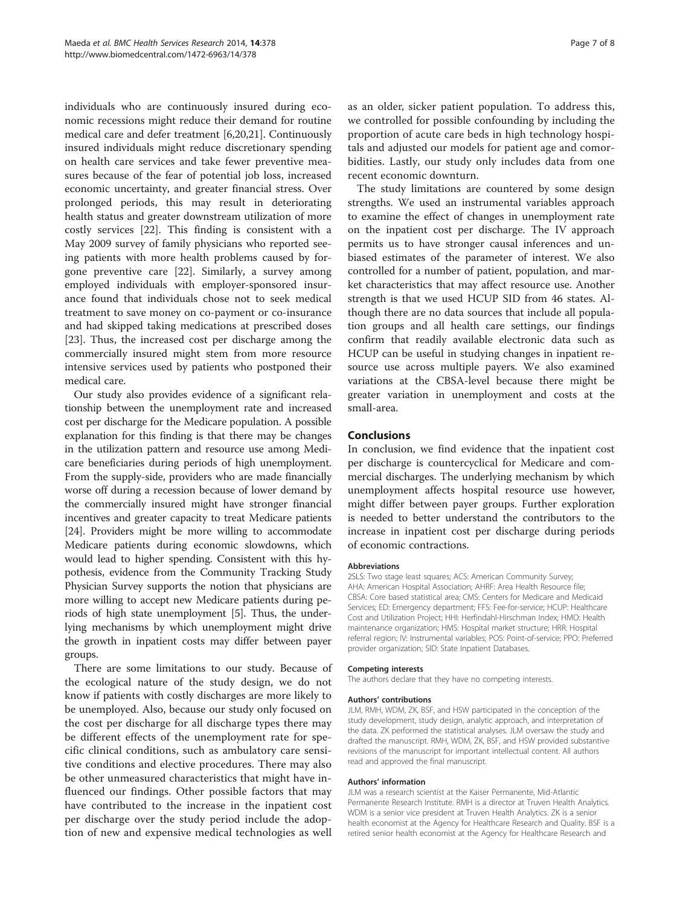individuals who are continuously insured during economic recessions might reduce their demand for routine medical care and defer treatment [[6,20,21\]](#page-7-0). Continuously insured individuals might reduce discretionary spending on health care services and take fewer preventive measures because of the fear of potential job loss, increased economic uncertainty, and greater financial stress. Over prolonged periods, this may result in deteriorating health status and greater downstream utilization of more costly services [[22\]](#page-7-0). This finding is consistent with a May 2009 survey of family physicians who reported seeing patients with more health problems caused by forgone preventive care [[22\]](#page-7-0). Similarly, a survey among employed individuals with employer-sponsored insurance found that individuals chose not to seek medical treatment to save money on co-payment or co-insurance and had skipped taking medications at prescribed doses [[23\]](#page-7-0). Thus, the increased cost per discharge among the commercially insured might stem from more resource intensive services used by patients who postponed their medical care.

Our study also provides evidence of a significant relationship between the unemployment rate and increased cost per discharge for the Medicare population. A possible explanation for this finding is that there may be changes in the utilization pattern and resource use among Medicare beneficiaries during periods of high unemployment. From the supply-side, providers who are made financially worse off during a recession because of lower demand by the commercially insured might have stronger financial incentives and greater capacity to treat Medicare patients [[24](#page-7-0)]. Providers might be more willing to accommodate Medicare patients during economic slowdowns, which would lead to higher spending. Consistent with this hypothesis, evidence from the Community Tracking Study Physician Survey supports the notion that physicians are more willing to accept new Medicare patients during periods of high state unemployment [[5](#page-7-0)]. Thus, the underlying mechanisms by which unemployment might drive the growth in inpatient costs may differ between payer groups.

There are some limitations to our study. Because of the ecological nature of the study design, we do not know if patients with costly discharges are more likely to be unemployed. Also, because our study only focused on the cost per discharge for all discharge types there may be different effects of the unemployment rate for specific clinical conditions, such as ambulatory care sensitive conditions and elective procedures. There may also be other unmeasured characteristics that might have influenced our findings. Other possible factors that may have contributed to the increase in the inpatient cost per discharge over the study period include the adoption of new and expensive medical technologies as well

as an older, sicker patient population. To address this, we controlled for possible confounding by including the proportion of acute care beds in high technology hospitals and adjusted our models for patient age and comorbidities. Lastly, our study only includes data from one recent economic downturn.

The study limitations are countered by some design strengths. We used an instrumental variables approach to examine the effect of changes in unemployment rate on the inpatient cost per discharge. The IV approach permits us to have stronger causal inferences and unbiased estimates of the parameter of interest. We also controlled for a number of patient, population, and market characteristics that may affect resource use. Another strength is that we used HCUP SID from 46 states. Although there are no data sources that include all population groups and all health care settings, our findings confirm that readily available electronic data such as HCUP can be useful in studying changes in inpatient resource use across multiple payers. We also examined variations at the CBSA-level because there might be greater variation in unemployment and costs at the small-area.

## Conclusions

In conclusion, we find evidence that the inpatient cost per discharge is countercyclical for Medicare and commercial discharges. The underlying mechanism by which unemployment affects hospital resource use however, might differ between payer groups. Further exploration is needed to better understand the contributors to the increase in inpatient cost per discharge during periods of economic contractions.

#### **Abbreviations**

2SLS: Two stage least squares; ACS: American Community Survey; AHA: American Hospital Association: AHRF: Area Health Resource file; CBSA: Core based statistical area; CMS: Centers for Medicare and Medicaid Services; ED: Emergency department; FFS: Fee-for-service; HCUP: Healthcare Cost and Utilization Project; HHI: Herfindahl-Hirschman Index; HMO: Health maintenance organization; HMS: Hospital market structure; HRR: Hospital referral region; IV: Instrumental variables; POS: Point-of-service; PPO: Preferred provider organization; SID: State Inpatient Databases.

#### Competing interests

The authors declare that they have no competing interests.

#### Authors' contributions

JLM, RMH, WDM, ZK, BSF, and HSW participated in the conception of the study development, study design, analytic approach, and interpretation of the data. ZK performed the statistical analyses. JLM oversaw the study and drafted the manuscript. RMH, WDM, ZK, BSF, and HSW provided substantive revisions of the manuscript for important intellectual content. All authors read and approved the final manuscript.

#### Authors' information

JLM was a research scientist at the Kaiser Permanente, Mid-Atlantic Permanente Research Institute. RMH is a director at Truven Health Analytics. WDM is a senior vice president at Truven Health Analytics. ZK is a senior health economist at the Agency for Healthcare Research and Quality. BSF is a retired senior health economist at the Agency for Healthcare Research and